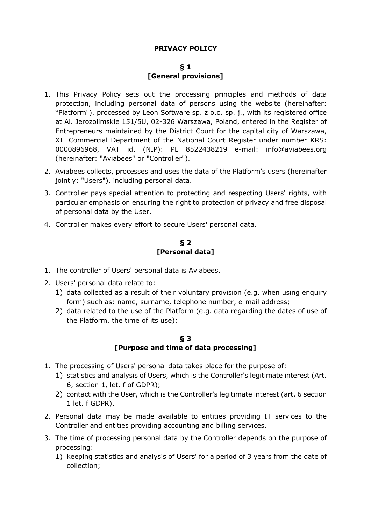# **PRIVACY POLICY**

### **§ 1 [General provisions]**

- 1. This Privacy Policy sets out the processing principles and methods of data protection, including personal data of persons using the website (hereinafter: "Platform"), processed by Leon Software sp. z o.o. sp. j., with its registered office at Al. Jerozolimskie 151/5U, 02-326 Warszawa, Poland, entered in the Register of Entrepreneurs maintained by the District Court for the capital city of Warszawa, XII Commercial Department of the National Court Register under number KRS: 0000896968, VAT id. (NIP): PL 8522438219 e-mail: info@aviabees.org (hereinafter: "Aviabees" or "Controller").
- 2. Aviabees collects, processes and uses the data of the Platform's users (hereinafter jointly: "Users"), including personal data.
- 3. Controller pays special attention to protecting and respecting Users' rights, with particular emphasis on ensuring the right to protection of privacy and free disposal of personal data by the User.
- 4. Controller makes every effort to secure Users' personal data.

# **§ 2 [Personal data]**

- 1. The controller of Users' personal data is Aviabees.
- 2. Users' personal data relate to:
	- 1) data collected as a result of their voluntary provision (e.g. when using enquiry form) such as: name, surname, telephone number, e-mail address;
	- 2) data related to the use of the Platform (e.g. data regarding the dates of use of the Platform, the time of its use);

### **§ 3 [Purpose and time of data processing]**

- 1. The processing of Users' personal data takes place for the purpose of:
	- 1) statistics and analysis of Users, which is the Controller's legitimate interest (Art. 6, section 1, let. f of GDPR);
	- 2) contact with the User, which is the Controller's legitimate interest (art. 6 section 1 let. f GDPR).
- 2. Personal data may be made available to entities providing IT services to the Controller and entities providing accounting and billing services.
- 3. The time of processing personal data by the Controller depends on the purpose of processing:
	- 1) keeping statistics and analysis of Users' for a period of 3 years from the date of collection;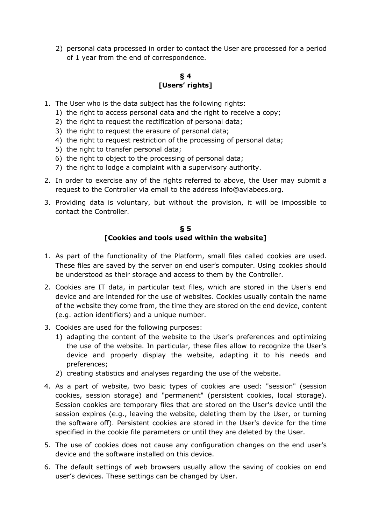2) personal data processed in order to contact the User are processed for a period of 1 year from the end of correspondence.

# **§ 4 [Users' rights]**

- 1. The User who is the data subject has the following rights:
	- 1) the right to access personal data and the right to receive a copy;
	- 2) the right to request the rectification of personal data;
	- 3) the right to request the erasure of personal data;
	- 4) the right to request restriction of the processing of personal data;
	- 5) the right to transfer personal data;
	- 6) the right to object to the processing of personal data;
	- 7) the right to lodge a complaint with a supervisory authority.
- 2. In order to exercise any of the rights referred to above, the User may submit a request to the Controller via email to the address info@aviabees.org.
- 3. Providing data is voluntary, but without the provision, it will be impossible to contact the Controller.

#### **§ 5 [Cookies and tools used within the website]**

- 1. As part of the functionality of the Platform, small files called cookies are used. These files are saved by the server on end user's computer. Using cookies should be understood as their storage and access to them by the Controller.
- 2. Cookies are IT data, in particular text files, which are stored in the User's end device and are intended for the use of websites. Cookies usually contain the name of the website they come from, the time they are stored on the end device, content (e.g. action identifiers) and a unique number.
- 3. Cookies are used for the following purposes:
	- 1) adapting the content of the website to the User's preferences and optimizing the use of the website. In particular, these files allow to recognize the User's device and properly display the website, adapting it to his needs and preferences;
	- 2) creating statistics and analyses regarding the use of the website.
- 4. As a part of website, two basic types of cookies are used: "session" (session cookies, session storage) and "permanent" (persistent cookies, local storage). Session cookies are temporary files that are stored on the User's device until the session expires (e.g., leaving the website, deleting them by the User, or turning the software off). Persistent cookies are stored in the User's device for the time specified in the cookie file parameters or until they are deleted by the User.
- 5. The use of cookies does not cause any configuration changes on the end user's device and the software installed on this device.
- 6. The default settings of web browsers usually allow the saving of cookies on end user's devices. These settings can be changed by User.